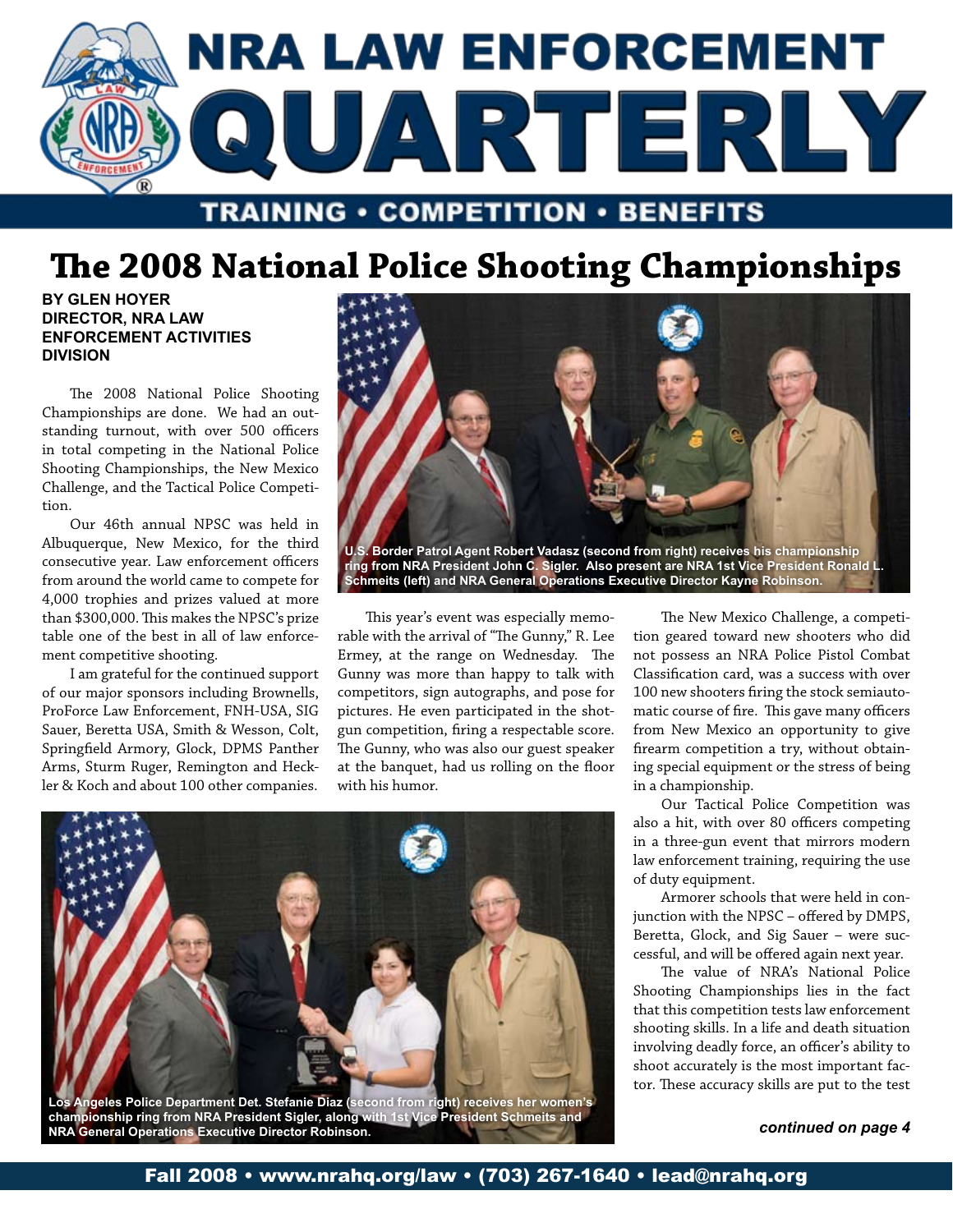

# **The 2008 National Police Shooting Championships**

**By Glen Hoyer Director, NRA Law Enforcement Activities Division**

The 2008 National Police Shooting Championships are done. We had an outstanding turnout, with over 500 officers in total competing in the National Police Shooting Championships, the New Mexico Challenge, and the Tactical Police Competition.

Our 46th annual NPSC was held in Albuquerque, New Mexico, for the third consecutive year. Law enforcement officers from around the world came to compete for 4,000 trophies and prizes valued at more than \$300,000. This makes the NPSC's prize table one of the best in all of law enforcement competitive shooting.

I am grateful for the continued support of our major sponsors including Brownells, ProForce Law Enforcement, FNH-USA, SIG Sauer, Beretta USA, Smith & Wesson, Colt, Springfield Armory, Glock, DPMS Panther Arms, Sturm Ruger, Remington and Heckler & Koch and about 100 other companies.



This year's event was especially memorable with the arrival of "The Gunny," R. Lee Ermey, at the range on Wednesday. The Gunny was more than happy to talk with competitors, sign autographs, and pose for pictures. He even participated in the shotgun competition, firing a respectable score. The Gunny, who was also our guest speaker at the banquet, had us rolling on the floor with his humor.

The New Mexico Challenge, a competition geared toward new shooters who did not possess an NRA Police Pistol Combat Classification card, was a success with over 100 new shooters firing the stock semiautomatic course of fire. This gave many officers from New Mexico an opportunity to give firearm competition a try, without obtaining special equipment or the stress of being in a championship.

Our Tactical Police Competition was also a hit, with over 80 officers competing in a three-gun event that mirrors modern law enforcement training, requiring the use of duty equipment.

Armorer schools that were held in conjunction with the NPSC – offered by DMPS, Beretta, Glock, and Sig Sauer – were successful, and will be offered again next year.

The value of NRA's National Police Shooting Championships lies in the fact that this competition tests law enforcement shooting skills. In a life and death situation involving deadly force, an officer's ability to shoot accurately is the most important factor. These accuracy skills are put to the test



**championship ring from NRA President Sigler, along with 1st Vice President Schmeits and NRA General Operations Executive Director Robinson.**

*continued on page 4*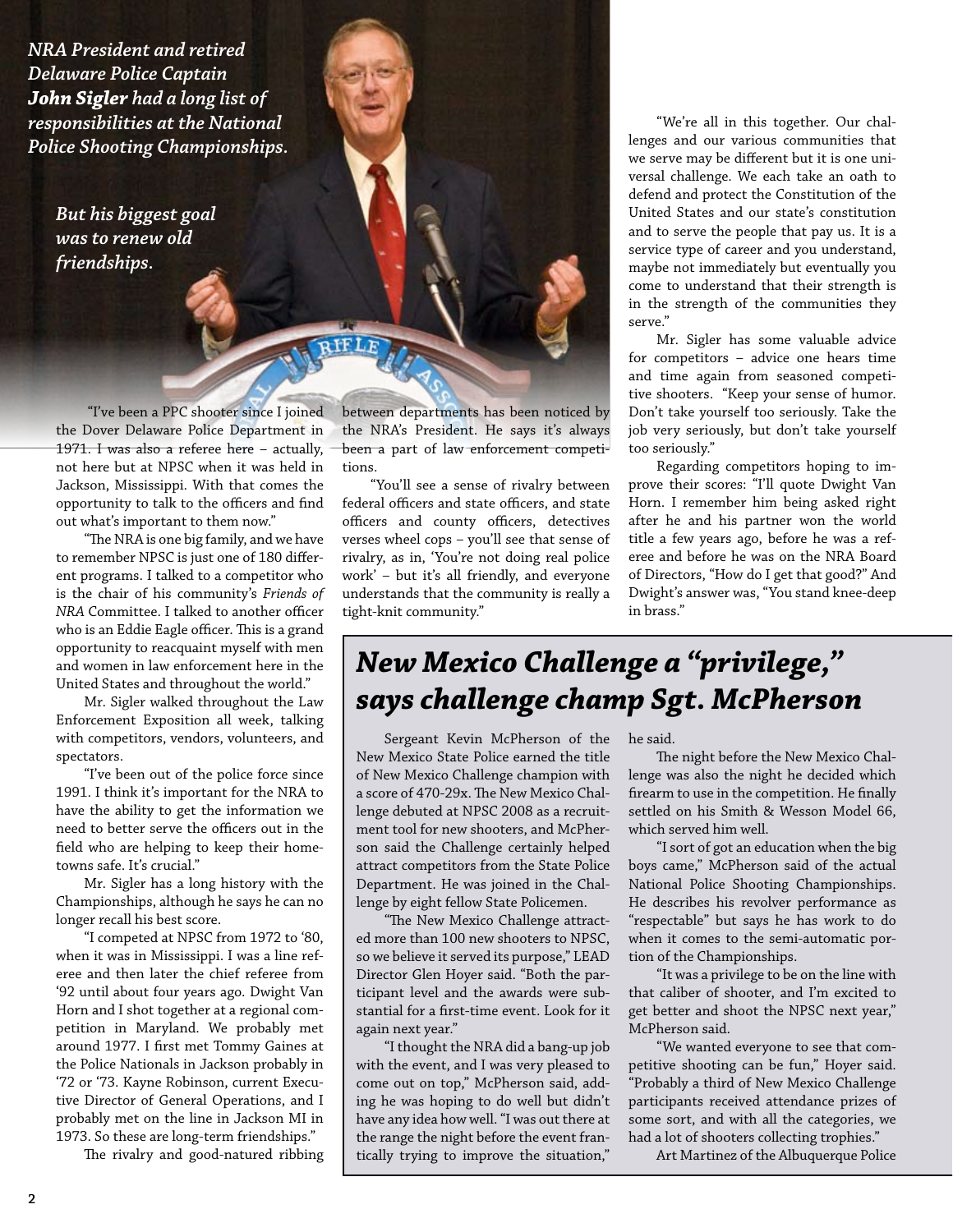*NRA President and retired Delaware Police Captain John Sigler had a long list of responsibilities at the National Police Shooting Championships.*

> *But his biggest goal was to renew old friendships.*

 "I've been a PPC shooter since I joined the Dover Delaware Police Department in 1971. I was also a referee here – actually, not here but at NPSC when it was held in Jackson, Mississippi. With that comes the opportunity to talk to the officers and find out what's important to them now."

"The NRA is one big family, and we have to remember NPSC is just one of 180 different programs. I talked to a competitor who is the chair of his community's *Friends of NRA* Committee. I talked to another officer who is an Eddie Eagle officer. This is a grand opportunity to reacquaint myself with men and women in law enforcement here in the United States and throughout the world."

Mr. Sigler walked throughout the Law Enforcement Exposition all week, talking with competitors, vendors, volunteers, and spectators.

"I've been out of the police force since 1991. I think it's important for the NRA to have the ability to get the information we need to better serve the officers out in the field who are helping to keep their hometowns safe. It's crucial."

Mr. Sigler has a long history with the Championships, although he says he can no longer recall his best score.

"I competed at NPSC from 1972 to '80, when it was in Mississippi. I was a line referee and then later the chief referee from '92 until about four years ago. Dwight Van Horn and I shot together at a regional competition in Maryland. We probably met around 1977. I first met Tommy Gaines at the Police Nationals in Jackson probably in '72 or '73. Kayne Robinson, current Executive Director of General Operations, and I probably met on the line in Jackson MI in 1973. So these are long-term friendships."

The rivalry and good-natured ribbing

between departments has been noticed by the NRA's President. He says it's always been a part of law enforcement competitions.

RIFLE

"You'll see a sense of rivalry between federal officers and state officers, and state officers and county officers, detectives verses wheel cops – you'll see that sense of rivalry, as in, 'You're not doing real police work' – but it's all friendly, and everyone understands that the community is really a tight-knit community."

"We're all in this together. Our challenges and our various communities that we serve may be different but it is one universal challenge. We each take an oath to defend and protect the Constitution of the United States and our state's constitution and to serve the people that pay us. It is a service type of career and you understand, maybe not immediately but eventually you come to understand that their strength is in the strength of the communities they serve."

Mr. Sigler has some valuable advice for competitors – advice one hears time and time again from seasoned competitive shooters. "Keep your sense of humor. Don't take yourself too seriously. Take the job very seriously, but don't take yourself too seriously."

Regarding competitors hoping to improve their scores: "I'll quote Dwight Van Horn. I remember him being asked right after he and his partner won the world title a few years ago, before he was a referee and before he was on the NRA Board of Directors, "How do I get that good?" And Dwight's answer was, "You stand knee-deep in brass."

## *New Mexico Challenge a "privilege," says challenge champ Sgt. McPherson*

Sergeant Kevin McPherson of the New Mexico State Police earned the title of New Mexico Challenge champion with a score of 470-29x. The New Mexico Challenge debuted at NPSC 2008 as a recruitment tool for new shooters, and McPherson said the Challenge certainly helped attract competitors from the State Police Department. He was joined in the Challenge by eight fellow State Policemen.

"The New Mexico Challenge attracted more than 100 new shooters to NPSC, so we believe it served its purpose," LEAD Director Glen Hoyer said. "Both the participant level and the awards were substantial for a first-time event. Look for it again next year."

"I thought the NRA did a bang-up job with the event, and I was very pleased to come out on top," McPherson said, adding he was hoping to do well but didn't have any idea how well. "I was out there at the range the night before the event frantically trying to improve the situation,"

he said.

The night before the New Mexico Challenge was also the night he decided which firearm to use in the competition. He finally settled on his Smith & Wesson Model 66, which served him well.

"I sort of got an education when the big boys came," McPherson said of the actual National Police Shooting Championships. He describes his revolver performance as "respectable" but says he has work to do when it comes to the semi-automatic portion of the Championships.

"It was a privilege to be on the line with that caliber of shooter, and I'm excited to get better and shoot the NPSC next year," McPherson said.

"We wanted everyone to see that competitive shooting can be fun," Hoyer said. "Probably a third of New Mexico Challenge participants received attendance prizes of some sort, and with all the categories, we had a lot of shooters collecting trophies."

Art Martinez of the Albuquerque Police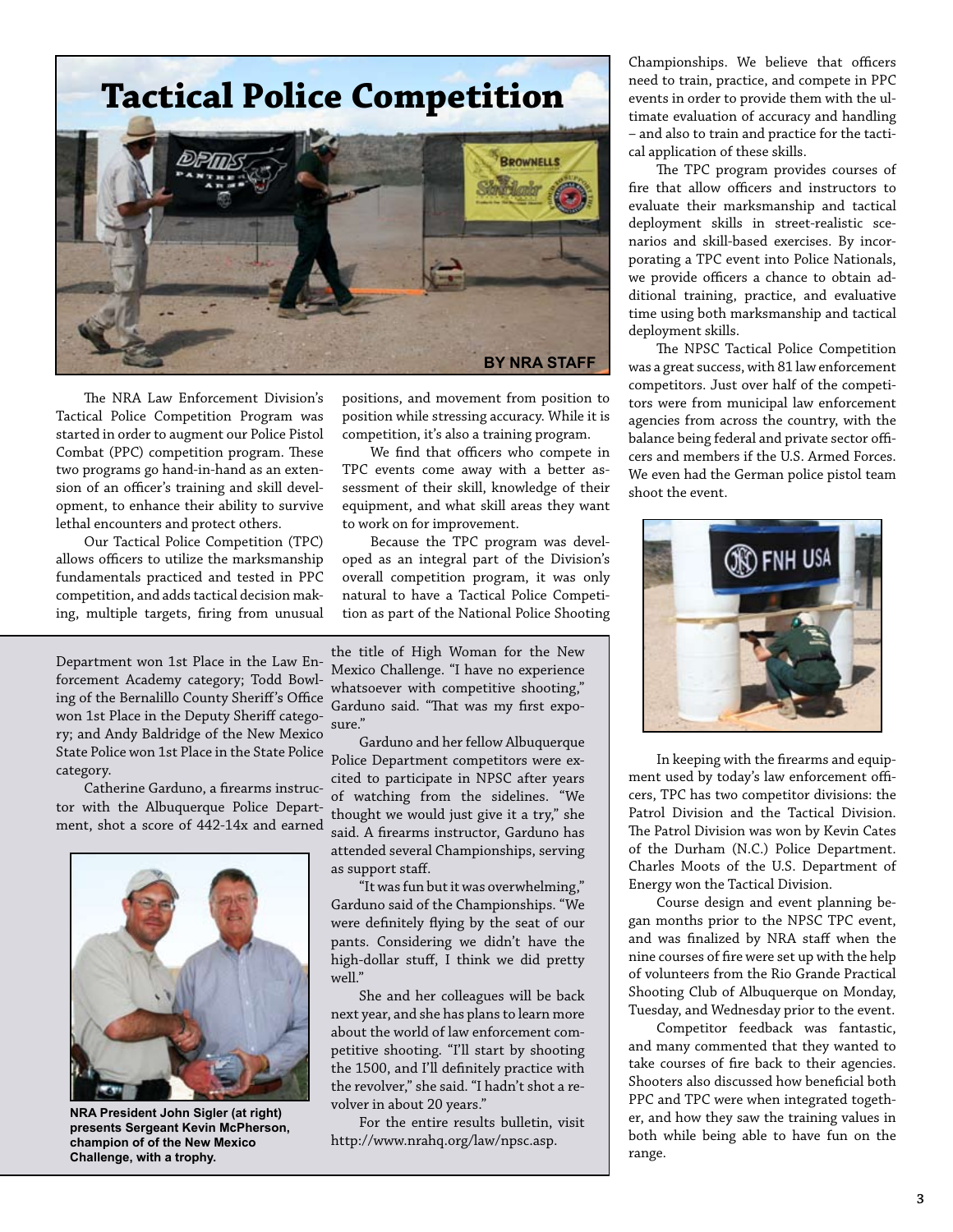

The NRA Law Enforcement Division's Tactical Police Competition Program was started in order to augment our Police Pistol Combat (PPC) competition program. These two programs go hand-in-hand as an extension of an officer's training and skill development, to enhance their ability to survive lethal encounters and protect others.

Our Tactical Police Competition (TPC) allows officers to utilize the marksmanship fundamentals practiced and tested in PPC competition, and adds tactical decision making, multiple targets, firing from unusual

Department won 1st Place in the Law Enforcement Academy category; Todd Bowling of the Bernalillo County Sheriff's Office won 1st Place in the Deputy Sheriff category; and Andy Baldridge of the New Mexico State Police won 1st Place in the State Police category.

Catherine Garduno, a firearms instructor with the Albuquerque Police Department, shot a score of 442-14x and earned



**NRA President John Sigler (at right) presents Sergeant Kevin McPherson, champion of of the New Mexico Challenge, with a trophy.**

positions, and movement from position to position while stressing accuracy. While it is competition, it's also a training program.

We find that officers who compete in TPC events come away with a better assessment of their skill, knowledge of their equipment, and what skill areas they want to work on for improvement.

Because the TPC program was developed as an integral part of the Division's overall competition program, it was only natural to have a Tactical Police Competition as part of the National Police Shooting

the title of High Woman for the New Mexico Challenge. "I have no experience whatsoever with competitive shooting," Garduno said. "That was my first exposure."

Garduno and her fellow Albuquerque Police Department competitors were excited to participate in NPSC after years of watching from the sidelines. "We thought we would just give it a try," she said. A firearms instructor, Garduno has attended several Championships, serving as support staff.

"It was fun but it was overwhelming," Garduno said of the Championships. "We were definitely flying by the seat of our pants. Considering we didn't have the high-dollar stuff, I think we did pretty well."

She and her colleagues will be back next year, and she has plans to learn more about the world of law enforcement competitive shooting. "I'll start by shooting the 1500, and I'll definitely practice with the revolver," she said. "I hadn't shot a revolver in about 20 years."

For the entire results bulletin, visit http://www.nrahq.org/law/npsc.asp.

Championships. We believe that officers need to train, practice, and compete in PPC events in order to provide them with the ultimate evaluation of accuracy and handling – and also to train and practice for the tactical application of these skills.

The TPC program provides courses of fire that allow officers and instructors to evaluate their marksmanship and tactical deployment skills in street-realistic scenarios and skill-based exercises. By incorporating a TPC event into Police Nationals, we provide officers a chance to obtain additional training, practice, and evaluative time using both marksmanship and tactical deployment skills.

The NPSC Tactical Police Competition was a great success, with 81 law enforcement competitors. Just over half of the competitors were from municipal law enforcement agencies from across the country, with the balance being federal and private sector officers and members if the U.S. Armed Forces. We even had the German police pistol team shoot the event.



In keeping with the firearms and equipment used by today's law enforcement officers, TPC has two competitor divisions: the Patrol Division and the Tactical Division. The Patrol Division was won by Kevin Cates of the Durham (N.C.) Police Department. Charles Moots of the U.S. Department of Energy won the Tactical Division.

Course design and event planning began months prior to the NPSC TPC event, and was finalized by NRA staff when the nine courses of fire were set up with the help of volunteers from the Rio Grande Practical Shooting Club of Albuquerque on Monday, Tuesday, and Wednesday prior to the event.

Competitor feedback was fantastic, and many commented that they wanted to take courses of fire back to their agencies. Shooters also discussed how beneficial both PPC and TPC were when integrated together, and how they saw the training values in both while being able to have fun on the range.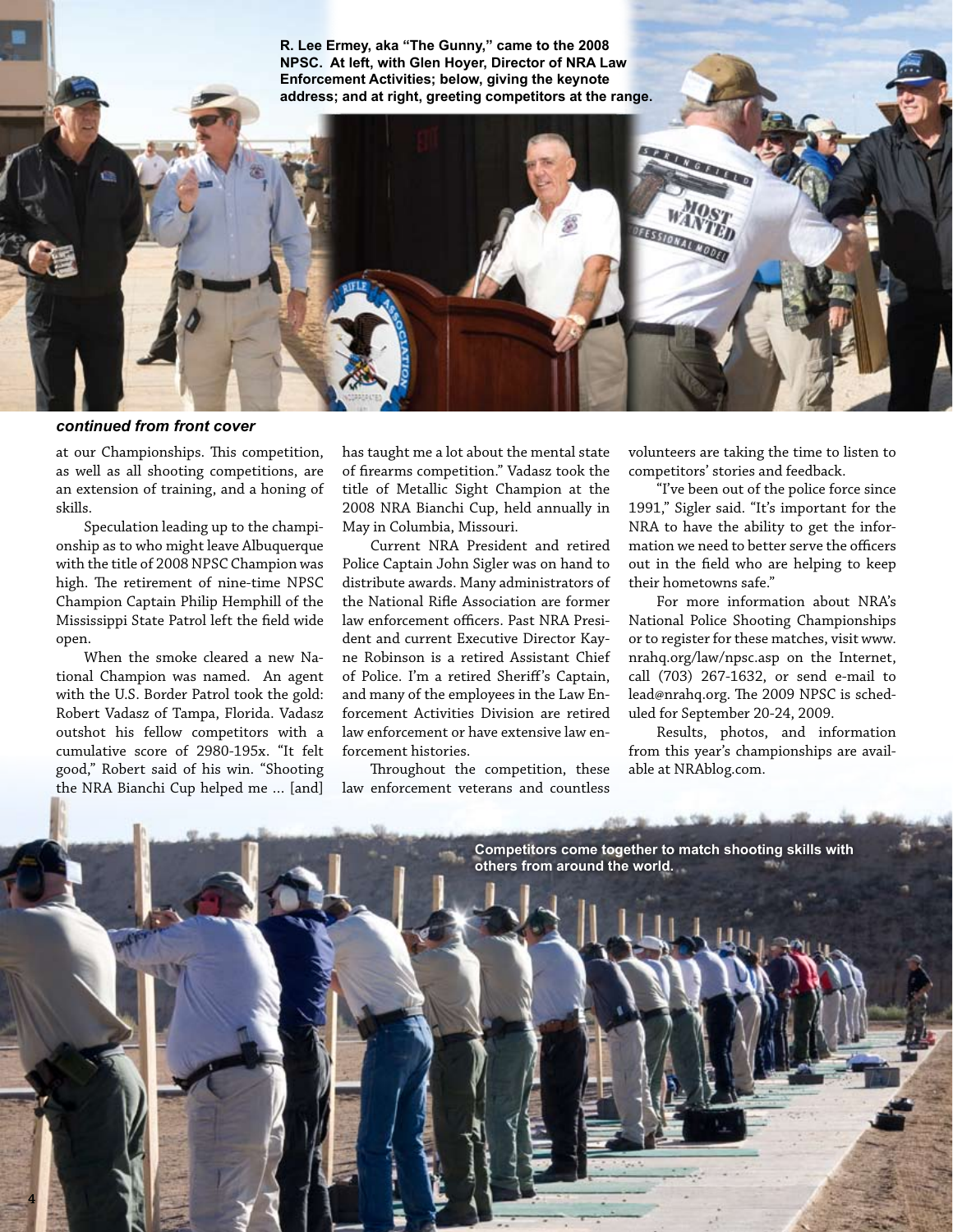**R. Lee Ermey, aka "The Gunny," came to the 2008 NPSC. At left, with Glen Hoyer, Director of NRA Law Enforcement Activities; below, giving the keynote address; and at right, greeting competitors at the range.**

*continued from front cover*

at our Championships. This competition, as well as all shooting competitions, are an extension of training, and a honing of skills.

Speculation leading up to the championship as to who might leave Albuquerque with the title of 2008 NPSC Champion was high. The retirement of nine-time NPSC Champion Captain Philip Hemphill of the Mississippi State Patrol left the field wide open.

When the smoke cleared a new National Champion was named. An agent with the U.S. Border Patrol took the gold: Robert Vadasz of Tampa, Florida. Vadasz outshot his fellow competitors with a cumulative score of 2980-195x. "It felt good," Robert said of his win. "Shooting the NRA Bianchi Cup helped me … [and]

**4**

has taught me a lot about the mental state of firearms competition." Vadasz took the title of Metallic Sight Champion at the 2008 NRA Bianchi Cup, held annually in May in Columbia, Missouri.

Current NRA President and retired Police Captain John Sigler was on hand to distribute awards. Many administrators of the National Rifle Association are former law enforcement officers. Past NRA President and current Executive Director Kayne Robinson is a retired Assistant Chief of Police. I'm a retired Sheriff's Captain, and many of the employees in the Law Enforcement Activities Division are retired law enforcement or have extensive law enforcement histories.

Throughout the competition, these law enforcement veterans and countless

volunteers are taking the time to listen to competitors' stories and feedback.

**STATE OF THE REAL** 

**TISTICIANTS** 

"I've been out of the police force since 1991," Sigler said. "It's important for the NRA to have the ability to get the information we need to better serve the officers out in the field who are helping to keep their hometowns safe."

For more information about NRA's National Police Shooting Championships or to register for these matches, visit www. nrahq.org/law/npsc.asp on the Internet, call (703) 267-1632, or send e-mail to lead@nrahq.org. The 2009 NPSC is scheduled for September 20-24, 2009.

Results, photos, and information from this year's championships are available at NRAblog.com.

**Competitors come together to match shooting skills with others from around the world.**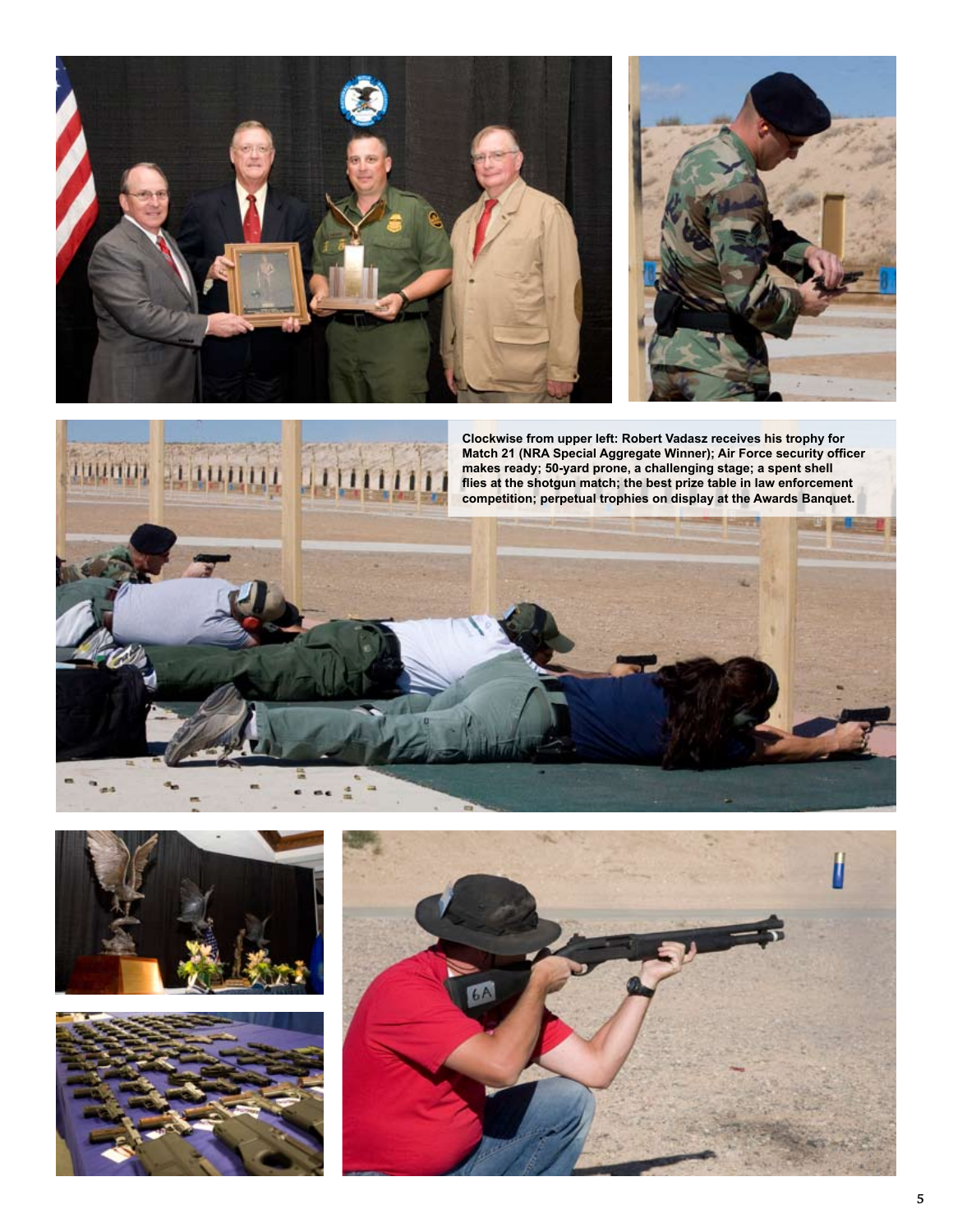







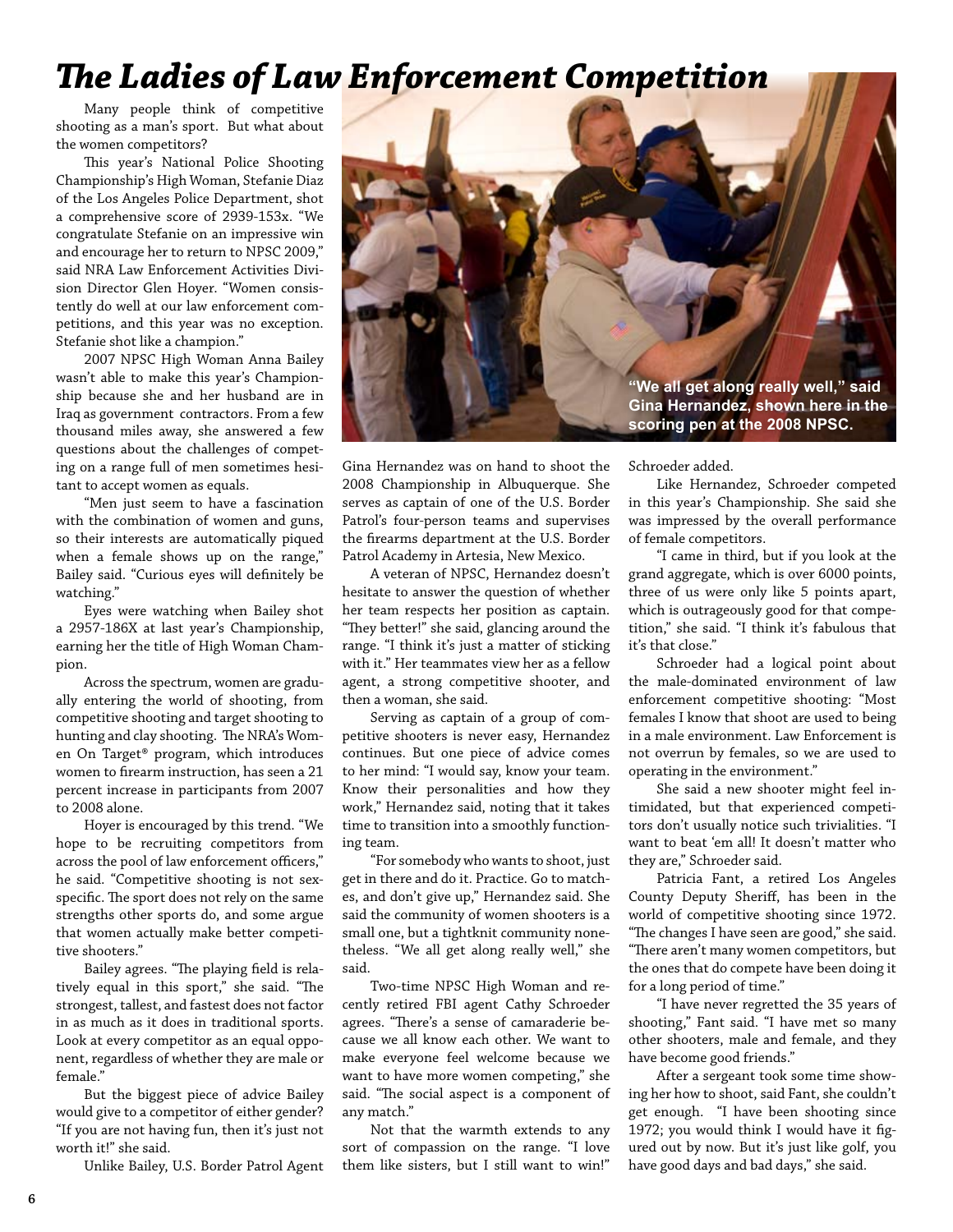## *The Ladies of Law Enforcement Competition*

Many people think of competitive shooting as a man's sport. But what about the women competitors?

This year's National Police Shooting Championship's High Woman, Stefanie Diaz of the Los Angeles Police Department, shot a comprehensive score of 2939-153x. "We congratulate Stefanie on an impressive win and encourage her to return to NPSC 2009," said NRA Law Enforcement Activities Division Director Glen Hoyer. "Women consistently do well at our law enforcement competitions, and this year was no exception. Stefanie shot like a champion."

2007 NPSC High Woman Anna Bailey wasn't able to make this year's Championship because she and her husband are in Iraq as government contractors. From a few thousand miles away, she answered a few questions about the challenges of competing on a range full of men sometimes hesitant to accept women as equals.

"Men just seem to have a fascination with the combination of women and guns, so their interests are automatically piqued when a female shows up on the range," Bailey said. "Curious eyes will definitely be watching."

Eyes were watching when Bailey shot a 2957-186X at last year's Championship, earning her the title of High Woman Champion.

Across the spectrum, women are gradually entering the world of shooting, from competitive shooting and target shooting to hunting and clay shooting. The NRA's Women On Target® program, which introduces women to firearm instruction, has seen a 21 percent increase in participants from 2007 to 2008 alone.

Hoyer is encouraged by this trend. "We hope to be recruiting competitors from across the pool of law enforcement officers," he said. "Competitive shooting is not sexspecific. The sport does not rely on the same strengths other sports do, and some argue that women actually make better competitive shooters."

Bailey agrees. "The playing field is relatively equal in this sport," she said. "The strongest, tallest, and fastest does not factor in as much as it does in traditional sports. Look at every competitor as an equal opponent, regardless of whether they are male or female."

But the biggest piece of advice Bailey would give to a competitor of either gender? "If you are not having fun, then it's just not worth it!" she said.

Unlike Bailey, U.S. Border Patrol Agent



Gina Hernandez was on hand to shoot the 2008 Championship in Albuquerque. She serves as captain of one of the U.S. Border Patrol's four-person teams and supervises the firearms department at the U.S. Border Patrol Academy in Artesia, New Mexico.

A veteran of NPSC, Hernandez doesn't hesitate to answer the question of whether her team respects her position as captain. "They better!" she said, glancing around the range. "I think it's just a matter of sticking with it." Her teammates view her as a fellow agent, a strong competitive shooter, and then a woman, she said.

Serving as captain of a group of competitive shooters is never easy, Hernandez continues. But one piece of advice comes to her mind: "I would say, know your team. Know their personalities and how they work," Hernandez said, noting that it takes time to transition into a smoothly functioning team.

"For somebody who wants to shoot, just get in there and do it. Practice. Go to matches, and don't give up," Hernandez said. She said the community of women shooters is a small one, but a tightknit community nonetheless. "We all get along really well," she said.

Two-time NPSC High Woman and recently retired FBI agent Cathy Schroeder agrees. "There's a sense of camaraderie because we all know each other. We want to make everyone feel welcome because we want to have more women competing," she said. "The social aspect is a component of any match."

Not that the warmth extends to any sort of compassion on the range. "I love them like sisters, but I still want to win!"

Schroeder added.

Like Hernandez, Schroeder competed in this year's Championship. She said she was impressed by the overall performance of female competitors.

"I came in third, but if you look at the grand aggregate, which is over 6000 points, three of us were only like 5 points apart, which is outrageously good for that competition," she said. "I think it's fabulous that it's that close."

Schroeder had a logical point about the male-dominated environment of law enforcement competitive shooting: "Most females I know that shoot are used to being in a male environment. Law Enforcement is not overrun by females, so we are used to operating in the environment."

She said a new shooter might feel intimidated, but that experienced competitors don't usually notice such trivialities. "I want to beat 'em all! It doesn't matter who they are," Schroeder said.

Patricia Fant, a retired Los Angeles County Deputy Sheriff, has been in the world of competitive shooting since 1972. "The changes I have seen are good," she said. "There aren't many women competitors, but the ones that do compete have been doing it for a long period of time."

"I have never regretted the 35 years of shooting," Fant said. "I have met so many other shooters, male and female, and they have become good friends."

After a sergeant took some time showing her how to shoot, said Fant, she couldn't get enough. "I have been shooting since 1972; you would think I would have it figured out by now. But it's just like golf, you have good days and bad days," she said.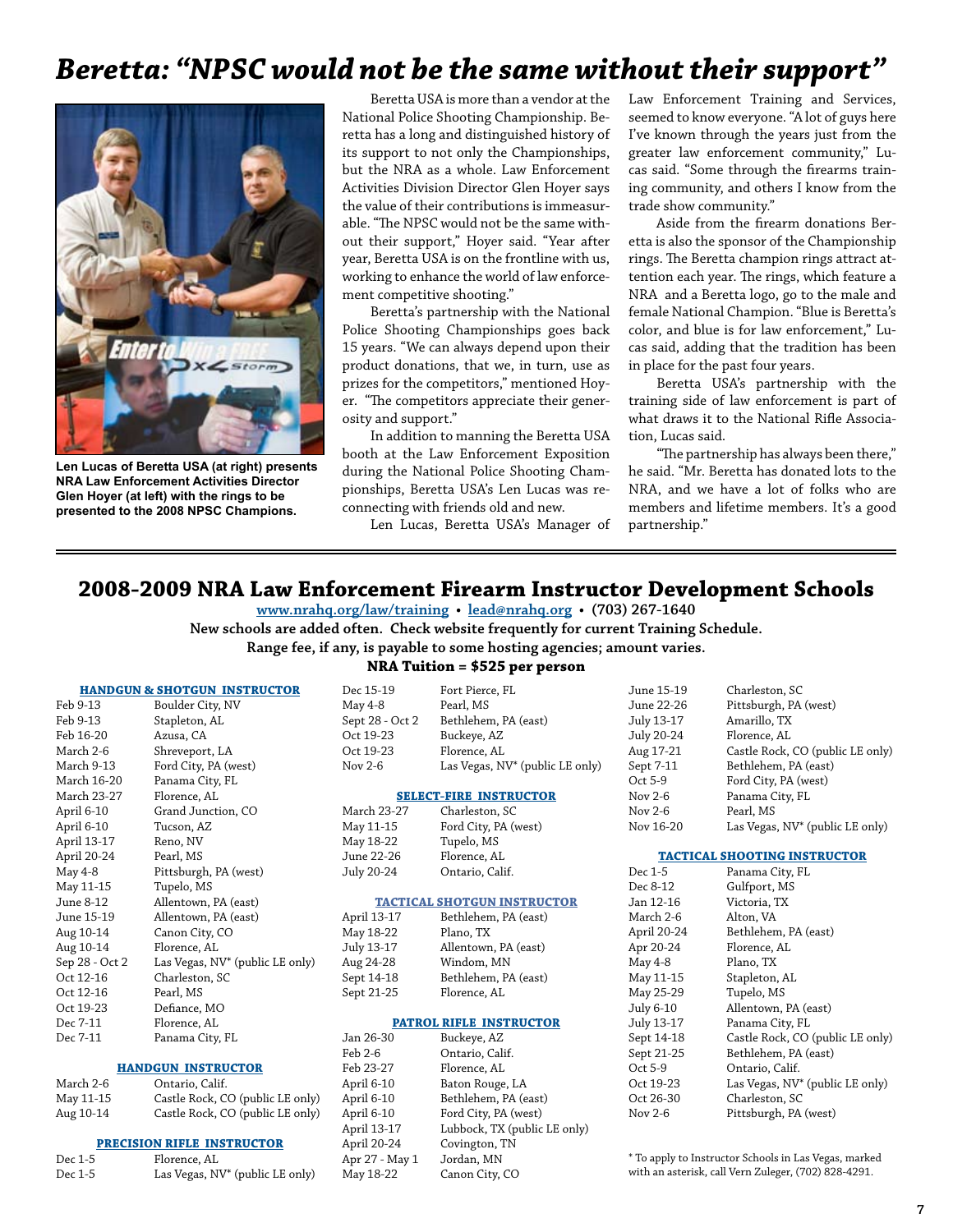## *Beretta: "NPSC would not be the same without their support"*



**Len Lucas of Beretta USA (at right) presents NRA Law Enforcement Activities Director Glen Hoyer (at left) with the rings to be presented to the 2008 NPSC Champions.**

Beretta USA is more than a vendor at the National Police Shooting Championship. Beretta has a long and distinguished history of its support to not only the Championships, but the NRA as a whole. Law Enforcement Activities Division Director Glen Hoyer says the value of their contributions is immeasurable. "The NPSC would not be the same without their support," Hoyer said. "Year after year, Beretta USA is on the frontline with us, working to enhance the world of law enforcement competitive shooting."

Beretta's partnership with the National Police Shooting Championships goes back 15 years. "We can always depend upon their product donations, that we, in turn, use as prizes for the competitors," mentioned Hoyer. "The competitors appreciate their generosity and support."

In addition to manning the Beretta USA booth at the Law Enforcement Exposition during the National Police Shooting Championships, Beretta USA's Len Lucas was reconnecting with friends old and new.

Len Lucas, Beretta USA's Manager of

Law Enforcement Training and Services, seemed to know everyone. "A lot of guys here I've known through the years just from the greater law enforcement community," Lucas said. "Some through the firearms training community, and others I know from the trade show community."

Aside from the firearm donations Beretta is also the sponsor of the Championship rings. The Beretta champion rings attract attention each year. The rings, which feature a NRA and a Beretta logo, go to the male and female National Champion. "Blue is Beretta's color, and blue is for law enforcement," Lucas said, adding that the tradition has been in place for the past four years.

Beretta USA's partnership with the training side of law enforcement is part of what draws it to the National Rifle Association, Lucas said.

"The partnership has always been there," he said. "Mr. Beretta has donated lots to the NRA, and we have a lot of folks who are members and lifetime members. It's a good partnership."

## **2008-2009 NRA Law Enforcement Firearm Instructor Development Schools**

**www.nrahq.org/law/training • lead@nrahq.org • (703) 267-1640 New schools are added often. Check website frequently for current Training Schedule.**

**Range fee, if any, is payable to some hosting agencies; amount varies.**

#### **HANDGUN & SHOTGUN INSTRUCTOR**

| Feb 9-13       | Boulder City, NV                |  |  |
|----------------|---------------------------------|--|--|
| Feb 9-13       | Stapleton, AL                   |  |  |
| Feb 16-20      | Azusa, CA                       |  |  |
| March 2-6      | Shreveport, LA                  |  |  |
| March 9-13     | Ford City, PA (west)            |  |  |
| March 16-20    | Panama City, FL                 |  |  |
| March 23-27    | Florence, AL                    |  |  |
| April 6-10     | Grand Junction, CO              |  |  |
| April 6-10     | Tucson, AZ                      |  |  |
| April 13-17    | Reno, NV                        |  |  |
| April 20-24    | Pearl, MS                       |  |  |
| May 4-8        | Pittsburgh, PA (west)           |  |  |
| May 11-15      | Tupelo, MS                      |  |  |
| June 8-12      | Allentown, PA (east)            |  |  |
| June 15-19     | Allentown, PA (east)            |  |  |
| Aug 10-14      | Canon City, CO                  |  |  |
| Aug 10-14      | Florence, AL                    |  |  |
| Sep 28 - Oct 2 | Las Vegas, NV* (public LE only) |  |  |
| Oct 12-16      | Charleston, SC                  |  |  |
| Oct 12-16      | Pearl, MS                       |  |  |
| Oct 19-23      | Defiance, MO                    |  |  |
| Dec 7-11       | Florence, AL                    |  |  |
| Dec 7-11       | Panama City, FL                 |  |  |

### **HANDGUN INSTRUCTOR**

| March 2-6 | Ontario, Calif.                  |
|-----------|----------------------------------|
| May 11-15 | Castle Rock, CO (public LE only) |
| Aug 10-14 | Castle Rock, CO (public LE only) |

### **PRECISION RIFLE INSTRUCTOR**

| Dec 1-5 | Florence, AL                                |
|---------|---------------------------------------------|
| Dec 1-5 | Las Vegas, NV <sup>*</sup> (public LE only) |

### **NRA Tuition = \$525 per person**

|    | Dec 15-19                          | Fort Pierce, FL                 | June 15-19                          | Charleston, SC                              |
|----|------------------------------------|---------------------------------|-------------------------------------|---------------------------------------------|
|    | May 4-8                            | Pearl, MS                       | June 22-26                          | Pittsburgh, PA (west)                       |
|    | Sept 28 - Oct 2                    | Bethlehem, PA (east)            | July 13-17                          | Amarillo, TX                                |
|    | Oct 19-23                          | Buckeye, AZ                     | July 20-24                          | Florence, AL                                |
|    | Oct 19-23                          | Florence, AL                    | Aug 17-21                           | Castle Rock, CO (public LE only)            |
|    | Nov 2-6                            | Las Vegas, NV* (public LE only) | Sept 7-11                           | Bethlehem, PA (east)                        |
|    |                                    |                                 | Oct 5-9                             | Ford City, PA (west)                        |
|    |                                    | <b>SELECT-FIRE INSTRUCTOR</b>   | Nov $2-6$                           | Panama City, FL                             |
|    | March 23-27                        | Charleston, SC                  | Nov $2-6$                           | Pearl, MS                                   |
|    | May 11-15                          | Ford City, PA (west)            | Nov 16-20                           | Las Vegas, NV* (public LE only)             |
|    | May 18-22                          | Tupelo, MS                      |                                     |                                             |
|    | June 22-26<br>Florence, AL         |                                 | <b>TACTICAL SHOOTING INSTRUCTOR</b> |                                             |
|    | July 20-24                         | Ontario, Calif.                 | Dec 1-5                             | Panama City, FL                             |
|    |                                    |                                 | Dec 8-12                            | Gulfport, MS                                |
|    | <b>TACTICAL SHOTGUN INSTRUCTOR</b> |                                 | Jan 12-16                           | Victoria, TX                                |
|    | April 13-17                        | Bethlehem, PA (east)            | March 2-6                           | Alton, VA                                   |
|    | May 18-22                          | Plano, TX                       | April 20-24                         | Bethlehem, PA (east)                        |
|    | July 13-17                         | Allentown, PA (east)            | Apr 20-24                           | Florence, AL                                |
|    | Aug 24-28                          | Windom, MN                      | May 4-8                             | Plano, TX                                   |
|    | Sept 14-18                         | Bethlehem, PA (east)            | May 11-15                           | Stapleton, AL                               |
|    | Sept 21-25                         | Florence, AL                    | May 25-29                           | Tupelo, MS                                  |
|    |                                    |                                 | July 6-10                           | Allentown, PA (east)                        |
|    |                                    | <b>PATROL RIFLE INSTRUCTOR</b>  | July 13-17                          | Panama City, FL                             |
|    | Jan 26-30                          | Buckeye, AZ                     | Sept 14-18                          | Castle Rock, CO (public LE only)            |
|    | Feb 2-6                            | Ontario, Calif.                 | Sept 21-25                          | Bethlehem, PA (east)                        |
|    | Feb 23-27                          | Florence, AL                    | Oct 5-9                             | Ontario, Calif.                             |
|    | April 6-10                         | Baton Rouge, LA                 | Oct 19-23                           | Las Vegas, NV <sup>*</sup> (public LE only) |
| y) | April 6-10                         | Bethlehem, PA (east)            | Oct 26-30                           | Charleston, SC                              |
| v) | April 6-10                         | Ford City, PA (west)            | Nov 2-6                             | Pittsburgh, PA (west)                       |

April 13-17 Lubbock, TX (public LE only)

April 20-24 Covington, TN Apr 27 - May 1 Jordan, MN May 18-22 Canon City, CO

Pittsburgh, PA (west)

\* To apply to Instructor Schools in Las Vegas, marked with an asterisk, call Vern Zuleger, (702) 828-4291.